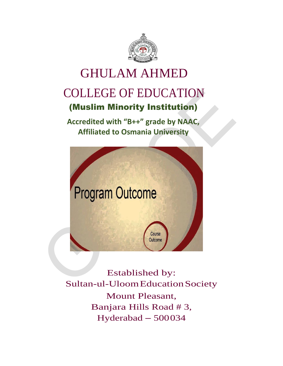

# GHULAM AHMED COLLEGE OF EDUCATION (Muslim Minority Institution)

**Accredited with "B++" grade by NAAC, Affiliated to Osmania University**



Established by: Sultan-ul-UloomEducationSociety Mount Pleasant, Banjara Hills Road # 3, Hyderabad – 500034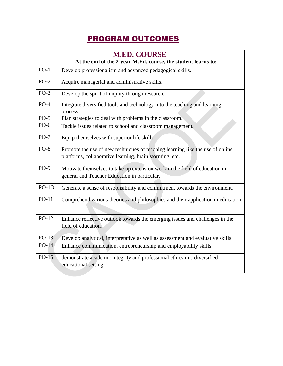## PROGRAM OUTCOMES

|         | <b>M.ED. COURSE</b><br>At the end of the 2-year M.Ed. course, the student learns to:                |
|---------|-----------------------------------------------------------------------------------------------------|
| $PO-1$  | Develop professionalism and advanced pedagogical skills.                                            |
| $PO-2$  | Acquire managerial and administrative skills.                                                       |
| $PO-3$  | Develop the spirit of inquiry through research.                                                     |
| $PO-4$  | Integrate diversified tools and technology into the teaching and learning<br>process.               |
| $PO-5$  | Plan strategies to deal with problems in the classroom.                                             |
| $PO-6$  | Tackle issues related to school and classroom management.                                           |
| $PO-7$  | Equip themselves with superior life skills.                                                         |
| $PO-8$  | Promote the use of new techniques of teaching learning like the use of online                       |
|         | platforms, collaborative learning, brain storming, etc.                                             |
| $PO-9$  | Motivate themselves to take up extension work in the field of education in                          |
|         | general and Teacher Education in particular.                                                        |
| $PO-1O$ | Generate a sense of responsibility and commitment towards the environment.                          |
| $PO-11$ | Comprehend various theories and philosophies and their application in education.                    |
| $PO-12$ | Enhance reflective outlook towards the emerging issues and challenges in the<br>field of education. |
| $PO-13$ | Develop analytical, interpretative as well as assessment and evaluative skills.                     |
| $PO-14$ | Enhance communication, entrepreneurship and employability skills.                                   |
| $PO-15$ | demonstrate academic integrity and professional ethics in a diversified<br>educational setting      |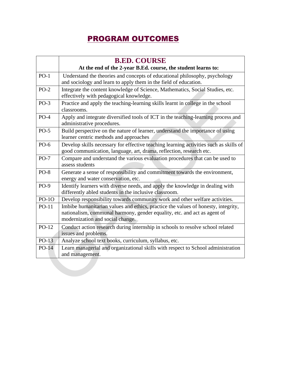### PROGRAM OUTCOMES

|         | <b>B.ED. COURSE</b>                                                                                                                                                                               |  |
|---------|---------------------------------------------------------------------------------------------------------------------------------------------------------------------------------------------------|--|
|         | At the end of the 2-year B.Ed. course, the student learns to:                                                                                                                                     |  |
| $PO-1$  | Understand the theories and concepts of educational philosophy, psychology                                                                                                                        |  |
|         | and sociology and learn to apply them in the field of education.                                                                                                                                  |  |
| $PO-2$  | Integrate the content knowledge of Science, Mathematics, Social Studies, etc.                                                                                                                     |  |
|         | effectively with pedagogical knowledge.                                                                                                                                                           |  |
| $PO-3$  | Practice and apply the teaching-learning skills learnt in college in the school<br>classrooms.                                                                                                    |  |
| $PO-4$  | Apply and integrate diversified tools of ICT in the teaching-learning process and<br>administrative procedures.                                                                                   |  |
| $PO-5$  | Build perspective on the nature of learner, understand the importance of using<br>learner centric methods and approaches                                                                          |  |
| $PO-6$  | Develop skills necessary for effective teaching learning activities such as skills of                                                                                                             |  |
|         | good communication, language, art, drama, reflection, research etc.                                                                                                                               |  |
| $PO-7$  | Compare and understand the various evaluation procedures that can be used to<br>assess students                                                                                                   |  |
| $PO-8$  | Generate a sense of responsibility and commitment towards the environment,                                                                                                                        |  |
|         | energy and water conservation, etc.                                                                                                                                                               |  |
| $PO-9$  | Identify learners with diverse needs, and apply the knowledge in dealing with                                                                                                                     |  |
|         | differently abled students in the inclusive classroom.                                                                                                                                            |  |
| $PO-1O$ | Develop responsibility towards community work and other welfare activities.                                                                                                                       |  |
| PO-11   | Imbibe humanitarian values and ethics, practice the values of honesty, integrity,<br>nationalism, communal harmony, gender equality, etc. and act as agent of<br>modernization and social change. |  |
| $PO-12$ | Conduct action research during internship in schools to resolve school related<br>issues and problems.                                                                                            |  |
| $PO-13$ | Analyze school text books, curriculum, syllabus, etc.                                                                                                                                             |  |
| $PO-14$ | Learn managerial and organizational skills with respect to School administration<br>and management.                                                                                               |  |
|         |                                                                                                                                                                                                   |  |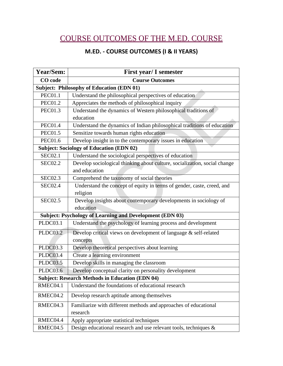# COURSE OUTCOMES OF THE M.ED. COURSE

#### **M.ED. - COURSE OUTCOMES (I & II YEARS)**

| Year/Sem:                                                       | <b>First year/ I semester</b>                                             |  |
|-----------------------------------------------------------------|---------------------------------------------------------------------------|--|
| CO code                                                         | <b>Course Outcomes</b>                                                    |  |
| <b>Subject: Philosophy of Education (EDN 01)</b>                |                                                                           |  |
| <b>PEC01.1</b>                                                  | Understand the philosophical perspectives of education                    |  |
| <b>PEC01.2</b>                                                  | Appreciates the methods of philosophical inquiry                          |  |
| <b>PEC01.3</b>                                                  | Understand the dynamics of Western philosophical traditions of            |  |
|                                                                 | education                                                                 |  |
| <b>PEC01.4</b>                                                  | Understand the dynamics of Indian philosophical traditions of education   |  |
| <b>PEC01.5</b>                                                  | Sensitize towards human rights education                                  |  |
| <b>PEC01.6</b>                                                  | Develop insight in to the contemporary issues in education                |  |
|                                                                 | <b>Subject: Sociology of Education (EDN 02)</b>                           |  |
| <b>SEC02.1</b>                                                  | Understand the sociological perspectives of education                     |  |
| <b>SEC02.2</b>                                                  | Develop sociological thinking about culture, socialization, social change |  |
|                                                                 | and education                                                             |  |
| <b>SEC02.3</b>                                                  | Comprehend the taxonomy of social theories                                |  |
| <b>SEC02.4</b>                                                  | Understand the concept of equity in terms of gender, caste, creed, and    |  |
|                                                                 | religion                                                                  |  |
| <b>SEC02.5</b>                                                  | Develop insights about contemporary developments in sociology of          |  |
|                                                                 | education                                                                 |  |
| <b>Subject: Psychology of Learning and Development (EDN 03)</b> |                                                                           |  |
| PLDC03.1                                                        | Understand the psychology of learning process and development             |  |
| PLDC03.2                                                        | Develop critical views on development of language & self-related          |  |
|                                                                 | concepts                                                                  |  |
| PLDC03.3                                                        | Develop theoretical perspectives about learning                           |  |
| <b>PLDC03.4</b>                                                 | Create a learning environment                                             |  |
| <b>PLDC03.5</b>                                                 | Develop skills in managing the classroom                                  |  |
| <b>PLDC03.6</b>                                                 | Develop conceptual clarity on personality development                     |  |
|                                                                 | <b>Subject: Research Methods in Education (EDN 04)</b>                    |  |
| RMEC04.1                                                        | Understand the foundations of educational research                        |  |
| RMEC04.2                                                        | Develop research aptitude among themselves                                |  |
| RMEC04.3                                                        | Familiarize with different methods and approaches of educational          |  |
|                                                                 | research                                                                  |  |
| RMEC04.4                                                        | Apply appropriate statistical techniques                                  |  |
| RMEC04.5                                                        | Design educational research and use relevant tools, techniques &          |  |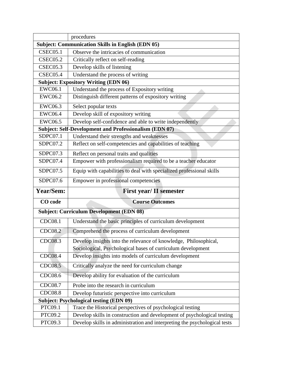|                                                          | procedures                                                                |  |
|----------------------------------------------------------|---------------------------------------------------------------------------|--|
| <b>Subject: Communication Skills in English (EDN 05)</b> |                                                                           |  |
| <b>CSEC05.1</b>                                          | Observe the intricacies of communication                                  |  |
| <b>CSEC05.2</b>                                          | Critically reflect on self-reading                                        |  |
| <b>CSEC05.3</b>                                          | Develop skills of listening                                               |  |
| <b>CSEC05.4</b>                                          | Understand the process of writing                                         |  |
|                                                          | <b>Subject: Expository Writing (EDN 06)</b>                               |  |
| <b>EWC06.1</b>                                           | Understand the process of Expository writing                              |  |
| EWC06.2                                                  | Distinguish different patterns of expository writing                      |  |
| EWC06.3                                                  | Select popular texts                                                      |  |
| <b>EWC06.4</b>                                           | Develop skill of expository writing                                       |  |
| <b>EWC06.5</b>                                           | Develop self-confidence and able to write independently                   |  |
|                                                          | <b>Subject: Self-Development and Professionalism (EDN 07)</b>             |  |
| SDPC07.1                                                 | Understand their strengths and weaknesses                                 |  |
| SDPC07.2                                                 | Reflect on self-competencies and capabilities of teaching                 |  |
| SDPC07.3                                                 | Reflect on personal traits and qualities                                  |  |
| SDPC07.4                                                 | Empower with professionalism required to be a teacher educator            |  |
| SDPC07.5                                                 | Equip with capabilities to deal with specialized professional skills      |  |
| SDPC07.6                                                 | Empower in professional competencies                                      |  |
| <b>Year/Sem:</b>                                         | <b>First year/ II semester</b>                                            |  |
| CO code                                                  | <b>Course Outcomes</b>                                                    |  |
|                                                          | <b>Subject: Curriculum Development (EDN 08)</b>                           |  |
| <b>CDC08.1</b>                                           | Understand the basic principles of curriculum development                 |  |
| CDC08.2                                                  | Comprehend the process of curriculum development                          |  |
| CDC08.3                                                  | Develop insights into the relevance of knowledge, Philosophical,          |  |
|                                                          | Sociological, Psychological bases of curriculum development               |  |
| <b>CDC08.4</b>                                           | Develop insights into models of curriculum development                    |  |
| CDC08.5                                                  | Critically analyze the need for curriculum change                         |  |
| CDC08.6                                                  | Develop ability for evaluation of the curriculum                          |  |
| CDC08.7                                                  | Probe into the research in curriculum                                     |  |
| <b>CDC08.8</b>                                           | Develop futuristic perspective into curriculum                            |  |
|                                                          | <b>Subject: Psychological testing (EDN 09)</b>                            |  |
| PTC09.1                                                  | Trace the Historical perspectives of psychological testing                |  |
| PTC09.2                                                  | Develop skills in construction and development of psychological testing   |  |
| PTC09.3                                                  | Develop skills in administration and interpreting the psychological tests |  |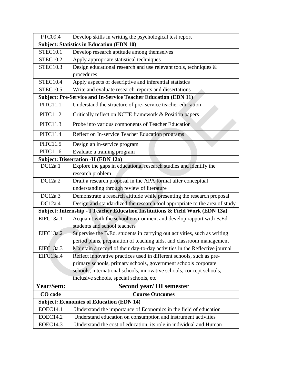| PTC09.4                                          | Develop skills in writing the psychological test report                       |  |
|--------------------------------------------------|-------------------------------------------------------------------------------|--|
| <b>Subject: Statistics in Education (EDN 10)</b> |                                                                               |  |
| <b>STEC10.1</b>                                  | Develop research aptitude among themselves                                    |  |
| <b>STEC10.2</b>                                  | Apply appropriate statistical techniques                                      |  |
| <b>STEC10.3</b>                                  | Design educational research and use relevant tools, techniques &              |  |
|                                                  | procedures                                                                    |  |
| <b>STEC10.4</b>                                  | Apply aspects of descriptive and inferential statistics                       |  |
| <b>STEC10.5</b>                                  | Write and evaluate research reports and dissertations                         |  |
|                                                  | <b>Subject: Pre-Service and In-Service Teacher Education (EDN 11)</b>         |  |
| <b>PITC11.1</b>                                  | Understand the structure of pre-service teacher education                     |  |
| <b>PITC11.2</b>                                  | Critically reflect on NCTE framework & Position papers                        |  |
| <b>PITC11.3</b>                                  | Probe into various components of Teacher Education                            |  |
| <b>PITC11.4</b>                                  | Reflect on In-service Teacher Education programs                              |  |
| <b>PITC11.5</b>                                  | Design an in-service program                                                  |  |
| PITC11.6                                         | Evaluate a training program                                                   |  |
|                                                  | <b>Subject: Dissertation -II (EDN 12a)</b>                                    |  |
| DC12a.1                                          | Explore the gaps in educational research studies and identify the             |  |
|                                                  | research problem                                                              |  |
| DC12a.2                                          | Draft a research proposal in the APA format after conceptual                  |  |
|                                                  | understanding through review of literature                                    |  |
| DC12a.3                                          | Demonstrate a research attitude while presenting the research proposal        |  |
| DC12a.4                                          | Design and standardized the research tool appropriate to the area of study    |  |
|                                                  | Subject: Internship - I Teacher Education Institutions & Field Work (EDN 13a) |  |
| EIFC13a.1                                        | Acquaint with the school environment and develop rapport with B.Ed.           |  |
|                                                  | students and school teachers                                                  |  |
| <b>EIFC13a.2</b>                                 | Supervise the B.Ed. students in carrying out activities, such as writing      |  |
|                                                  | period plans, preparation of teaching aids, and classroom management          |  |
| EIFC13a.3                                        | Maintain a record of their day-to-day activities in the Reflective journal    |  |
| EIFC13a.4                                        | Reflect innovative practices used in different schools, such as pre-          |  |
|                                                  | primary schools, primary schools, government schools corporate                |  |
|                                                  | schools, international schools, innovative schools, concept schools,          |  |
|                                                  | inclusive schools, special schools, etc.                                      |  |
| Year/Sem:                                        | <b>Second year/III semester</b>                                               |  |
| CO code                                          | <b>Course Outcomes</b>                                                        |  |
|                                                  | <b>Subject: Economics of Education (EDN 14)</b>                               |  |
| <b>EOEC14.1</b>                                  | Understand the importance of Economics in the field of education              |  |
| <b>EOEC14.2</b>                                  | Understand education on consumption and instrument activities                 |  |
| <b>EOEC14.3</b>                                  | Understand the cost of education, its role in individual and Human            |  |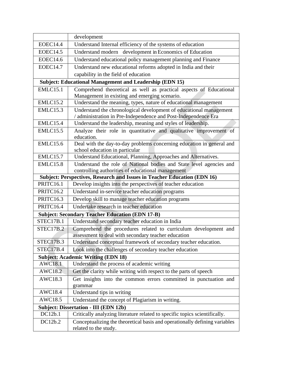|                  | development                                                                                                                          |
|------------------|--------------------------------------------------------------------------------------------------------------------------------------|
| <b>EOEC14.4</b>  | Understand Internal efficiency of the systems of education                                                                           |
| <b>EOEC14.5</b>  | Understand modern development in Economics of Education                                                                              |
| <b>EOEC14.6</b>  | Understand educational policy management planning and Finance                                                                        |
| <b>EOEC14.7</b>  | Understand new educational reforms adopted in India and their                                                                        |
|                  | capability in the field of education                                                                                                 |
|                  | <b>Subject: Educational Management and Leadership (EDN 15)</b>                                                                       |
| <b>EMLC15.1</b>  | Comprehend theoretical as well as practical aspects of Educational                                                                   |
|                  | Management in existing and emerging scenario.                                                                                        |
| <b>EMLC15.2</b>  | Understand the meaning, types, nature of educational management                                                                      |
| <b>EMLC15.3</b>  | Understand the chronological development of educational management<br>/ administration in Pre-Independence and Post-Independence Era |
| EMLC15.4         | Understand the leadership, meaning and styles of leadership.                                                                         |
| <b>EMLC15.5</b>  | Analyze their role in quantitative and qualitative improvement of<br>education.                                                      |
| <b>EMLC15.6</b>  | Deal with the day-to-day problems concerning education in general and<br>school education in particular                              |
| <b>EMLC15.7</b>  | Understand Educational, Planning, Approaches and Alternatives.                                                                       |
| <b>EMLC15.8</b>  | Understand the role of National bodies and State level agencies and                                                                  |
|                  | controlling authorities of educational management                                                                                    |
|                  | Subject: Perspectives, Research and Issues in Teacher Education (EDN 16)                                                             |
| PRITC16.1        | Develop insights into the perspectives of teacher education                                                                          |
| <b>PRITC16.2</b> | Understand in-service teacher education programs                                                                                     |
| <b>PRITC16.3</b> | Develop skill to manage teacher education programs                                                                                   |
| PRITC16.4        | Undertake research in teacher education                                                                                              |
|                  | <b>Subject: Secondary Teacher Education (EDN 17-B)</b>                                                                               |
| STEC17B.1        | Understand secondary teacher education in India                                                                                      |
| STEC17B.2        | Comprehend the procedures related to curriculum development and<br>assessment to deal with secondary teacher education               |
| <b>STEC17B.3</b> | Understand conceptual framework of secondary teacher education.                                                                      |
| STEC17B.4        | Look into the challenges of secondary teacher education                                                                              |
|                  | <b>Subject: Academic Writing (EDN 18)</b>                                                                                            |
| AWC18.1          | Understand the process of academic writing                                                                                           |
| AWC18.2          | Get the clarity while writing with respect to the parts of speech                                                                    |
| AWC18.3          | Get insights into the common errors committed in punctuation and<br>grammar                                                          |
| AWC18.4          | Understand tips in writing                                                                                                           |
| AWC18.5          | Understand the concept of Plagiarism in writing.                                                                                     |
|                  | <b>Subject: Dissertation - III (EDN 12b)</b>                                                                                         |
| DC12b.1          | Critically analyzing literature related to specific topics scientifically.                                                           |
| DC12b.2          | Conceptualizing the theoretical basis and operationally defining variables<br>related to the study.                                  |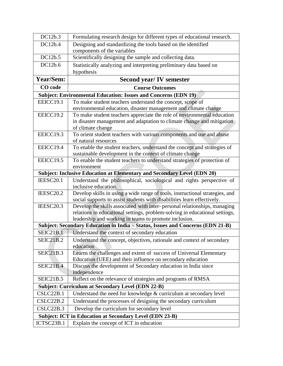| DC12b.3          | Formulating research design for different types of educational research.                                                                                |
|------------------|---------------------------------------------------------------------------------------------------------------------------------------------------------|
| DC12b.4          | Designing and standardizing the tools based on the identified                                                                                           |
|                  | components of the variables                                                                                                                             |
| DC12b.5          | Scientifically designing the sample and collecting data.                                                                                                |
| DC12b.6          | Statistically analyzing and interpreting preliminary data based on                                                                                      |
|                  | hypothesis                                                                                                                                              |
| Year/Sem:        | <b>Second year/IV semester</b>                                                                                                                          |
| CO code          | <b>Course Outcomes</b>                                                                                                                                  |
|                  | <b>Subject: Environmental Education: Issues and Concerns (EDN 19)</b>                                                                                   |
| EEICC19.1        | To make student teachers understand the concept, scope of                                                                                               |
|                  | environmental education, disaster management and climate change                                                                                         |
| EEICC19.2        | To make student teachers appreciate the role of environmental education                                                                                 |
|                  | in disaster management and adaptation to climate change and mitigation                                                                                  |
|                  | of climate change                                                                                                                                       |
| EEICC19.3        | To orient student teachers with various components and use and abuse                                                                                    |
|                  | of natural resources                                                                                                                                    |
| EEICC19.4        | To enable the student teachers, understand the concept and strategies of                                                                                |
|                  | sustainable development in the context of climate change                                                                                                |
| EEICC19.5        | To enable the student teachers to understand strategies of protection of                                                                                |
|                  | environment                                                                                                                                             |
|                  | <b>Subject: Inclusive Education at Elementary and Secondary Level (EDN 20)</b>                                                                          |
| IEESC20.1        | Understand the philosophical, sociological and rights perspective of                                                                                    |
|                  | inclusive education.                                                                                                                                    |
| IEESC20.2        | Develop skills in using a wide range of tools, instructional strategies, and<br>social supports to assist students with disabilities learn effectively. |
| IEESC20.3        | Develop the skills associated with inter-personal relationships, managing                                                                               |
|                  | relations in educational settings, problem-solving in educational settings,                                                                             |
|                  | leadership and working in teams to promote inclusion.                                                                                                   |
|                  | Subject: Secondary Education in India - Status, Issues and Concerns (EDN 21-B)                                                                          |
| <b>SEIC21B.1</b> | Understand the context of secondary education                                                                                                           |
| <b>SEIC21B.2</b> | Understand the concept, objectives, rationale and context of secondary                                                                                  |
|                  | education                                                                                                                                               |
| <b>SEIC21B.3</b> | Learns the challenges and extent of success of Universal Elementary                                                                                     |
|                  | Education (UEE) and their influence on secondary education                                                                                              |
| <b>SEIC21B.4</b> | Discuss the development of Secondary education in India since                                                                                           |
|                  | independence                                                                                                                                            |
| <b>SEIC21B.5</b> | Reflect on the relevance of strategies and programs of RMSA                                                                                             |
|                  | <b>Subject: Curriculum at Secondary Level (EDN 22-B)</b>                                                                                                |
| CSLC22B.1        | Understand the need for knowledge $&$ curriculum at secondary level                                                                                     |
| CSLC22B.2        | Understand the processes of designing the secondary curriculum                                                                                          |
| CSLC22B.3        | Develop the curriculum for secondary level                                                                                                              |
|                  | <b>Subject: ICT in Education at Secondary Level (EDN 23-B)</b>                                                                                          |
| ICTSC23B.1       | Explain the concept of ICT in education                                                                                                                 |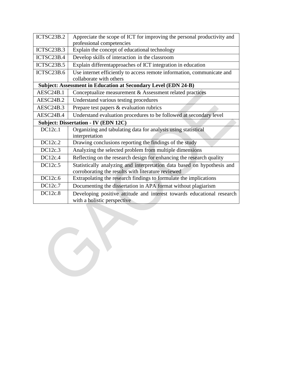| ICTSC23B.2 | Appreciate the scope of ICT for improving the personal productivity and |
|------------|-------------------------------------------------------------------------|
|            | professional competencies                                               |
| ICTSC23B.3 | Explain the concept of educational technology                           |
| ICTSC23B.4 | Develop skills of interaction in the classroom                          |
| ICTSC23B.5 | Explain differentapproaches of ICT integration in education             |
| ICTSC23B.6 | Use internet efficiently to access remote information, communicate and  |
|            | collaborate with others                                                 |
|            | <b>Subject: Assessment in Education at Secondary Level (EDN 24-B)</b>   |
| AESC24B.1  | Conceptualize measurement & Assessment related practices                |
| AESC24B.2  | Understand various testing procedures                                   |
| AESC24B.3  | Prepare test papers & evaluation rubrics                                |
| AESC24B.4  | Understand evaluation procedures to be followed at secondary level      |
|            | <b>Subject: Dissertation - IV (EDN 12C)</b>                             |
| DC12c.1    | Organizing and tabulating data for analysis using statistical           |
|            | interpretation                                                          |
| DC12c.2    | Drawing conclusions reporting the findings of the study                 |
| DC12c.3    | Analyzing the selected problem from multiple dimensions                 |
| DC12c.4    | Reflecting on the research design for enhancing the research quality    |
| DC12c.5    | Statistically analyzing and interpretation data based on hypothesis and |
|            | corroborating the results with literature reviewed                      |
| DC12c.6    | Extrapolating the research findings to formulate the implications       |
| DC12c.7    | Documenting the dissertation in APA format without plagiarism           |
| DC12c.8    | Developing positive attitude and interest towards educational research  |
|            | with a holistic perspective                                             |
|            |                                                                         |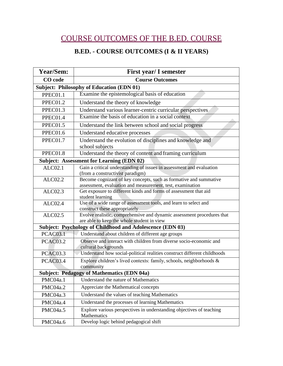## COURSE OUTCOMES OF THE B.ED. COURSE

#### **B.ED. - COURSE OUTCOMES (I & II YEARS)**

| Year/Sem:                                        | <b>First year/ I semester</b>                                                              |  |
|--------------------------------------------------|--------------------------------------------------------------------------------------------|--|
| CO code                                          | <b>Course Outcomes</b>                                                                     |  |
| <b>Subject: Philosophy of Education (EDN 01)</b> |                                                                                            |  |
| PPEC01.1                                         | Examine the epistemological basis of education                                             |  |
| PPEC01.2                                         | Understand the theory of knowledge                                                         |  |
| PPEC01.3                                         | Understand various learner-centric curricular perspectives                                 |  |
| PPEC01.4                                         | Examine the basis of education in a social context                                         |  |
| PPEC01.5                                         | Understand the link between school and social progress                                     |  |
| PPEC01.6                                         | Understand educative processes                                                             |  |
| PPEC01.7                                         | Understand the evolution of disciplines and knowledge and                                  |  |
|                                                  | school subjects                                                                            |  |
| PPEC01.8                                         | Understand the theory of content and framing curriculum                                    |  |
|                                                  | <b>Subject: Assessment for Learning (EDN 02)</b>                                           |  |
| ALCO2.1                                          | Gain a critical understanding of issues in assessment and evaluation                       |  |
|                                                  | (from a constructivist paradigm)                                                           |  |
| ALC02.2                                          | Become cognizant of key concepts, such as formative and summative                          |  |
|                                                  | assessment, evaluation and measurement, test, examination                                  |  |
| ALCO2.3                                          | Get exposure to different kinds and forms of assessment that aid<br>student learning       |  |
| <b>ALC02.4</b>                                   | Use of a wide range of assessment tools, and learn to select and                           |  |
|                                                  | construct these appropriately                                                              |  |
| ALC02.5                                          | Evolve realistic, comprehensive and dynamic assessment procedures that                     |  |
|                                                  | are able to keep the whole student in view                                                 |  |
|                                                  | <b>Subject: Psychology of Childhood and Adolescence (EDN 03)</b>                           |  |
| <b>PCAC03.1</b>                                  | Understand about children of different age groups                                          |  |
| <b>PCAC03.2</b>                                  | Observe and interact with children from diverse socio-economic and<br>cultural backgrounds |  |
| <b>PCAC03.3</b>                                  | Understand how social-political realities construct different childhoods                   |  |
| PCAC03.4                                         | Explore children's lived contexts: family, schools, neighborhoods &                        |  |
|                                                  | community                                                                                  |  |
|                                                  | <b>Subject: Pedagogy of Mathematics (EDN 04a)</b>                                          |  |
| PMC04a.1                                         | Understand the nature of Mathematics                                                       |  |
| PMC04a.2                                         | Appreciate the Mathematical concepts                                                       |  |
| PMC04a.3                                         | Understand the values of teaching Mathematics                                              |  |
| PMC04a.4                                         | Understand the processes of learning Mathematics                                           |  |
| PMC04a.5                                         | Explore various perspectives in understanding objectives of teaching<br>Mathematics        |  |
| PMC04a.6                                         | Develop logic behind pedagogical shift                                                     |  |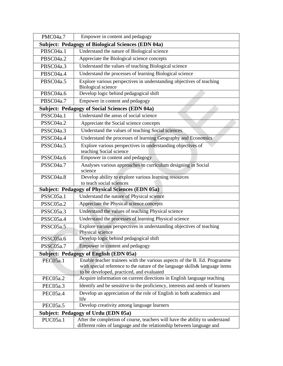| PMC04a.7                                                  | Empower in content and pedagogy                                                                                                                                                                      |  |
|-----------------------------------------------------------|------------------------------------------------------------------------------------------------------------------------------------------------------------------------------------------------------|--|
| <b>Subject: Pedagogy of Biological Sciences (EDN 04a)</b> |                                                                                                                                                                                                      |  |
| PBSC04a.1                                                 | Understand the nature of Biological science                                                                                                                                                          |  |
| PBSC04a.2                                                 | Appreciate the Biological science concepts                                                                                                                                                           |  |
| PBSC04a.3                                                 | Understand the values of teaching Biological science                                                                                                                                                 |  |
| PBSC04a.4                                                 | Understand the processes of learning Biological science                                                                                                                                              |  |
| PBSC04a.5                                                 | Explore various perspectives in understanding objectives of teaching<br><b>Biological science</b>                                                                                                    |  |
| PBSC04a.6                                                 | Develop logic behind pedagogical shift                                                                                                                                                               |  |
| PBSC04a.7                                                 | Empower in content and pedagogy                                                                                                                                                                      |  |
|                                                           | <b>Subject: Pedagogy of Social Sciences (EDN 04a)</b>                                                                                                                                                |  |
| PSSC04a.1                                                 | Understand the areas of social science                                                                                                                                                               |  |
| PSSC04a.2                                                 | Appreciate the Social science concepts                                                                                                                                                               |  |
| PSSC04a.3                                                 | Understand the values of teaching Social sciences                                                                                                                                                    |  |
| PSSC04a.4                                                 | Understand the processes of learning Geography and Economics                                                                                                                                         |  |
| PSSC04a.5                                                 | Explore various perspectives in understanding objectives of<br>teaching Social science                                                                                                               |  |
| PSSC04a.6                                                 | Empower in content and pedagogy                                                                                                                                                                      |  |
| PSSC04a.7                                                 | Analyses various approaches to curriculum designing in Social<br>science                                                                                                                             |  |
| PSSC04a.8                                                 | Develop ability to explore various learning resources<br>to teach social sciences                                                                                                                    |  |
|                                                           | <b>Subject: Pedagogy of Physical Sciences (EDN 05a)</b>                                                                                                                                              |  |
| PSSC05a.1                                                 | Understand the nature of Physical science                                                                                                                                                            |  |
| PSSC05a.2                                                 | Appreciate the Physical science concepts                                                                                                                                                             |  |
| PSSC05a.3                                                 | Understand the values of teaching Physical science                                                                                                                                                   |  |
| PSSC05a.4                                                 | Understand the processes of learning Physical science                                                                                                                                                |  |
| PSSC05a.5                                                 | Explore various perspectives in understanding objectives of teaching<br>Physical science                                                                                                             |  |
| PSSC05a.6                                                 | Develop logic behind pedagogical shift                                                                                                                                                               |  |
| PSSC05a.7                                                 | Empower in content and pedagogy                                                                                                                                                                      |  |
|                                                           | <b>Subject: Pedagogy of English (EDN 05a)</b>                                                                                                                                                        |  |
| PEC05a.1                                                  | Enable teacher trainees with the various aspects of the B. Ed. Programme<br>with special reference to the nature of the language skills& language items<br>to be developed, practiced, and evaluated |  |
| PEC05a.2                                                  | Acquire information on current directions in English language teaching                                                                                                                               |  |
| PEC05a.3                                                  | Identify and be sensitive to the proficiency, interests and needs of learners                                                                                                                        |  |
| PEC05a.4                                                  | Develop an appreciation of the role of English in both academics and<br>life                                                                                                                         |  |
| PEC05a.5                                                  | Develop creativity among language learners                                                                                                                                                           |  |
|                                                           | Subject: Pedagogy of Urdu (EDN 05a)                                                                                                                                                                  |  |
| PUC05a.1                                                  | After the completion of course, teachers will have the ability to understand<br>different roles of language and the relationship between language and                                                |  |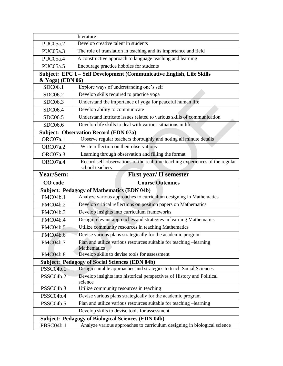|                                                                       | literature                                                                        |  |
|-----------------------------------------------------------------------|-----------------------------------------------------------------------------------|--|
| PUC05a.2                                                              | Develop creative talent in students                                               |  |
| PUC05a.3                                                              | The role of translation in teaching and its importance and field                  |  |
| PUC05a.4                                                              | A constructive approach to language teaching and learning                         |  |
| PUC05a.5                                                              | Encourage practice hobbies for students                                           |  |
| Subject: EPC 1 - Self Development (Communicative English, Life Skills |                                                                                   |  |
| & Yoga) (EDN 06)                                                      |                                                                                   |  |
| SDC06.1                                                               | Explore ways of understanding one's self                                          |  |
| SDC06.2                                                               | Develop skills required to practice yoga                                          |  |
| SDC06.3                                                               | Understand the importance of yoga for peaceful human life                         |  |
| SDC06.4                                                               | Develop ability to communicate                                                    |  |
| SDC06.5                                                               | Understand intricate issues related to various skills of communication            |  |
| SDC06.6                                                               | Develop life skills to deal with various situations in life                       |  |
|                                                                       | <b>Subject: Observation Record (EDN 07a)</b>                                      |  |
| ORC07a.1                                                              | Observe regular teachers thoroughly and noting all minute details                 |  |
| ORC07a.2                                                              | Write reflection on their observations                                            |  |
| ORC07a.3                                                              | Learning through observation and filling the format                               |  |
| ORC07a.4                                                              | Record self-observations of the real time teaching experiences of the regular     |  |
|                                                                       | school teachers                                                                   |  |
| Year/Sem:                                                             | <b>First year/ II semester</b>                                                    |  |
|                                                                       |                                                                                   |  |
| CO code                                                               | <b>Course Outcomes</b>                                                            |  |
|                                                                       | <b>Subject: Pedagogy of Mathematics (EDN 04b)</b>                                 |  |
| PMC04b.1                                                              | Analyze various approaches to curriculum designing in Mathematics                 |  |
| PMC04b.2                                                              | Develop critical reflections on position papers on Mathematics                    |  |
| PMC04b.3                                                              | Develop insights into curriculum frameworks                                       |  |
| PMC04b.4                                                              | Design relevant approaches and strategies in learning Mathematics                 |  |
| PMC04b.5                                                              | Utilize community resources in teaching Mathematics                               |  |
| <b>PMC04b.6</b>                                                       | Devise various plans strategically for the academic program                       |  |
| PMC04b.7                                                              | Plan and utilize various resources suitable for teaching -learning                |  |
|                                                                       | <b>Mathematics</b>                                                                |  |
| PMC04b.8                                                              | Develop skills to devise tools for assessment                                     |  |
|                                                                       | <b>Subject: Pedagogy of Social Sciences (EDN 04b)</b>                             |  |
| PSSC04b.1                                                             | Design suitable approaches and strategies to teach Social Sciences                |  |
| PSSC04b.2                                                             | Develop insights into historical perspectives of History and Political<br>science |  |
| PSSC04b.3                                                             | Utilize community resources in teaching                                           |  |
| PSSC04b.4                                                             | Devise various plans strategically for the academic program                       |  |
| PSSC04b.5                                                             | Plan and utilize various resources suitable for teaching -learning                |  |
|                                                                       | Develop skills to devise tools for assessment                                     |  |
|                                                                       | <b>Subject: Pedagogy of Biological Sciences (EDN 04b)</b>                         |  |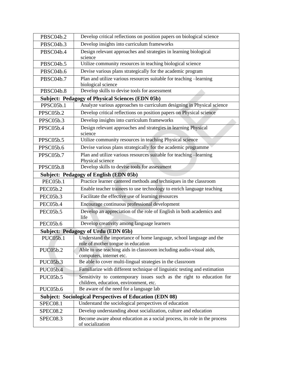| PBSC04b.2       | Develop critical reflections on position papers on biological science                                           |
|-----------------|-----------------------------------------------------------------------------------------------------------------|
| PBSC04b.3       | Develop insights into curriculum frameworks                                                                     |
| PBSC04b.4       | Design relevant approaches and strategies in learning biological<br>science                                     |
| PBSC04b.5       | Utilize community resources in teaching biological science                                                      |
| PBSC04b.6       | Devise various plans strategically for the academic program                                                     |
| PBSC04b.7       | Plan and utilize various resources suitable for teaching -learning<br>biological science                        |
| PBSC04b.8       | Develop skills to devise tools for assessment                                                                   |
|                 | <b>Subject: Pedagogy of Physical Sciences (EDN 05b)</b>                                                         |
| PPSC05b.1       | Analyze various approaches to curriculum designing in Physical science                                          |
| PPSC05b.2       | Develop critical reflections on position papers on Physical science                                             |
| PPSC05b.3       | Develop insights into curriculum frameworks                                                                     |
| PPSC05b.4       | Design relevant approaches and strategies in learning Physical<br>science                                       |
| PPSC05b.5       | Utilize community resources in teaching Physical science                                                        |
| PPSC05b.6       | Devise various plans strategically for the academic programme                                                   |
| PPSC05b.7       | Plan and utilize various resources suitable for teaching -learning<br>Physical science                          |
| PPSC05b.8       | Develop skills to devise tools for assessment                                                                   |
|                 | Subject: Pedagogy of English (EDN 05b)                                                                          |
| <b>PEC05b.1</b> | Practice learner cantered methods and techniques in the classroom                                               |
| <b>PEC05b.2</b> | Enable teacher trainees to use technology to enrich language teaching                                           |
| PEC05b.3        | Facilitate the effective use of learning resources                                                              |
| <b>PEC05b.4</b> | Encourage continuous professional development                                                                   |
| PEC05b.5        | Develop an appreciation of the role of English in both academics and<br>life                                    |
| PEC05b.6        | Develop creativity among language learners                                                                      |
|                 | <b>Subject: Pedagogy of Urdu (EDN 05b)</b>                                                                      |
| PUC05b.1        | Understand the importance of home language, school language and the<br>role of mother tongue in education       |
| <b>PUC05b.2</b> | Able to use teaching aids in classroom including audio-visual aids,<br>computers, internet etc.                 |
| <b>PUC05b.3</b> | Be able to cover multi-lingual strategies in the classroom                                                      |
| <b>PUC05b.4</b> | Familiarize with different technique of linguistic testing and estimation                                       |
| PUC05b.5        | Sensitivity to contemporary issues such as the right to education for<br>children, education, environment, etc. |
| PUC05b.6        | Be aware of the need for a language lab                                                                         |
|                 | <b>Subject: Sociological Perspectives of Education (EDN 08)</b>                                                 |
| <b>SPEC08.1</b> | Understand the sociological perspectives of education                                                           |
| SPEC08.2        | Develop understanding about socialization, culture and education                                                |
| SPEC08.3        | Become aware about education as a social process, its role in the process<br>of socialization                   |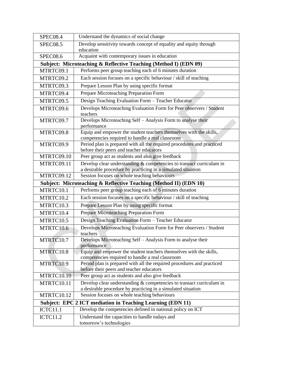| <b>SPEC08.4</b>                                                   | Understand the dynamics of social change                                                                                               |  |
|-------------------------------------------------------------------|----------------------------------------------------------------------------------------------------------------------------------------|--|
| <b>SPEC08.5</b>                                                   | Develop sensitivity towards concept of equality and equity through<br>education                                                        |  |
| <b>SPEC08.6</b>                                                   | Acquaint with contemporary issues in education                                                                                         |  |
| Subject: Microteaching & Reflective Teaching (Method I) (EDN 09)  |                                                                                                                                        |  |
| MTRTC09.1                                                         | Performs peer group teaching each of 6 minutes duration                                                                                |  |
| MTRTC09.2                                                         | Each session focuses on a specific behaviour / skill of teaching                                                                       |  |
| MTRTC09.3                                                         | Prepare Lesson Plan by using specific format                                                                                           |  |
| MTRTC09.4                                                         | Prepare Microteaching Preparation Form                                                                                                 |  |
| MTRTC09.5                                                         | Design Teaching Evaluation Form - Teacher Educator                                                                                     |  |
| MTRTC09.6                                                         | Develops Microteaching Evaluation Form for Peer observers / Student<br>teachers                                                        |  |
| MTRTC09.7                                                         | Develops Microteaching Self - Analysis Form to analyse their<br>performance                                                            |  |
| MTRTC09.8                                                         | Equip and empower the student teachers themselves with the skills,<br>competencies required to handle a real classroom                 |  |
| MTRTC09.9                                                         | Period plan is prepared with all the required procedures and practiced<br>before their peers and teacher educators                     |  |
| MTRTC09.10                                                        | Peer group act as students and also give feedback                                                                                      |  |
| MTRTC09.11                                                        | Develop clear understanding & competencies to transact curriculum in<br>a desirable procedure by practicing in a simulated situation   |  |
| MTRTC09.12                                                        | Session focuses on whole teaching behaviours                                                                                           |  |
|                                                                   | Subject: Microteaching & Reflective Teaching (Method II) (EDN 10)                                                                      |  |
| MTRTC10.1                                                         | Performs peer group teaching each of 6 minutes duration                                                                                |  |
| MTRTC10.2                                                         | Each session focuses on a specific behaviour / skill of teaching                                                                       |  |
| MTRTC10.3                                                         | Prepare Lesson Plan by using specific format                                                                                           |  |
| MTRTC10.4                                                         | Prepare Microteaching Preparation Form                                                                                                 |  |
| MTRTC10.5                                                         | Design Teaching Evaluation Form - Teacher Educator                                                                                     |  |
| MTRTC10.6                                                         | Develops Microteaching Evaluation Form for Peer observers / Student<br>teachers                                                        |  |
| MTRTC10.7                                                         | Develops Microteaching Self - Analysis Form to analyse their<br>performance                                                            |  |
| MTRTC10.8                                                         | Equip and empower the student teachers themselves with the skills,<br>competencies required to handle a real classroom                 |  |
| MTRTC10.9                                                         | Period plan is prepared with all the required procedures and practiced<br>before their peers and teacher educators                     |  |
| MTRTC10.10                                                        | Peer group act as students and also give feedback                                                                                      |  |
| MTRTC10.11                                                        | Develop clear understanding $&$ competencies to transact curriculum in<br>a desirable procedure by practicing in a simulated situation |  |
| MTRTC10.12                                                        | Session focuses on whole teaching behaviours                                                                                           |  |
| <b>Subject: EPC 2 ICT mediation in Teaching Learning (EDN 11)</b> |                                                                                                                                        |  |
| <b>ICTC11.1</b>                                                   | Develop the competencies defined in national policy on ICT                                                                             |  |
| <b>ICTC11.2</b>                                                   | Understand the capacities to handle todays and<br>tomorrow's technologies                                                              |  |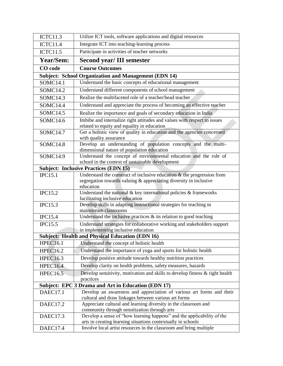| <b>ICTC11.3</b>                                             | Utilize ICT tools, software applications and digital resources                                                                                 |  |
|-------------------------------------------------------------|------------------------------------------------------------------------------------------------------------------------------------------------|--|
| <b>ICTC11.4</b>                                             | Integrate ICT into teaching-learning process                                                                                                   |  |
| <b>ICTC11.5</b>                                             | Participate in activities of teacher networks                                                                                                  |  |
| Year/Sem:                                                   | <b>Second year/III semester</b>                                                                                                                |  |
| CO code                                                     | <b>Course Outcomes</b>                                                                                                                         |  |
| <b>Subject: School Organization and Management (EDN 14)</b> |                                                                                                                                                |  |
| <b>SOMC14.1</b>                                             | Understand the basic concepts of educational management                                                                                        |  |
| <b>SOMC14.2</b>                                             | Understand different components of school management                                                                                           |  |
| SOMC14.3                                                    | Realize the multifaceted role of a teacher/head teacher                                                                                        |  |
| SOMC <sub>14.4</sub>                                        | Understand and appreciate the process of becoming an effective teacher                                                                         |  |
| SOMC14.5                                                    | Realize the importance and goals of secondary education in India                                                                               |  |
| SOMC14.6                                                    | Imbibe and internalize right attitudes and values with respect to issues<br>related to equity and equality in education                        |  |
| SOMC14.7                                                    | Get a holistic view of quality in education and the agencies concerned                                                                         |  |
| <b>SOMC14.8</b>                                             | with quality assurance<br>Develop an understanding of population concepts and the multi-                                                       |  |
|                                                             | dimensional nature of population education                                                                                                     |  |
| SOMC14.9                                                    | Understand the concept of environmental education and the role of                                                                              |  |
|                                                             | school in the context of sustainable development                                                                                               |  |
|                                                             | <b>Subject: Inclusive Practices (EDN 15)</b>                                                                                                   |  |
| <b>IPC15.1</b>                                              | Understand the construct of inclusive education $\&$ the progression from<br>segregation towards valuing & appreciating diversity in inclusive |  |
|                                                             | education                                                                                                                                      |  |
| <b>IPC15.2</b>                                              | Understand the national $\&$ key international policies $\&$ frameworks<br>facilitating inclusive education                                    |  |
| <b>IPC15.3</b>                                              | Develop skills in adapting instructional strategies for teaching in                                                                            |  |
|                                                             | mainstream classrooms                                                                                                                          |  |
| <b>IPC15.4</b>                                              | Understand the inclusive practices $\&$ its relation to good teaching                                                                          |  |
| <b>IPC15.5</b>                                              | Understand strategies for collaborative working and stakeholders support                                                                       |  |
|                                                             | in implementing inclusive education                                                                                                            |  |
|                                                             | <b>Subject: Health and Physical Education (EDN 16)</b>                                                                                         |  |
| <b>HPEC16.1</b>                                             | Understand the concept of holistic health                                                                                                      |  |
| <b>HPEC16.2</b>                                             | Understand the importance of yoga and sports for holistic health                                                                               |  |
| <b>HPEC16.3</b>                                             | Develop positive attitude towards healthy nutrition practices                                                                                  |  |
| <b>HPEC16.4</b>                                             | Develop clarity on health problems, safety measures, hazards                                                                                   |  |
| <b>HPEC16.5</b>                                             | Develop sensitivity, motivation and skills to develop fitness $\&$ right health<br>practices                                                   |  |
|                                                             | Subject: EPC 3 Drama and Art in Education (EDN 17)                                                                                             |  |
| DAEC17.1                                                    | Develop an awareness and appreciation of various art forms and their                                                                           |  |
|                                                             | cultural and draw linkages between various art forms                                                                                           |  |
| DAEC17.2                                                    | Appreciate cultural and learning diversity in the classroom and                                                                                |  |
|                                                             | community through sensitization through arts                                                                                                   |  |
| DAEC17.3                                                    | Develop a sense of "how learning happens" and the applicability of the<br>arts in creating learning situations contextually in schools         |  |
| DAEC17.4                                                    | Involve local artist resources in the classroom and bring multiple                                                                             |  |